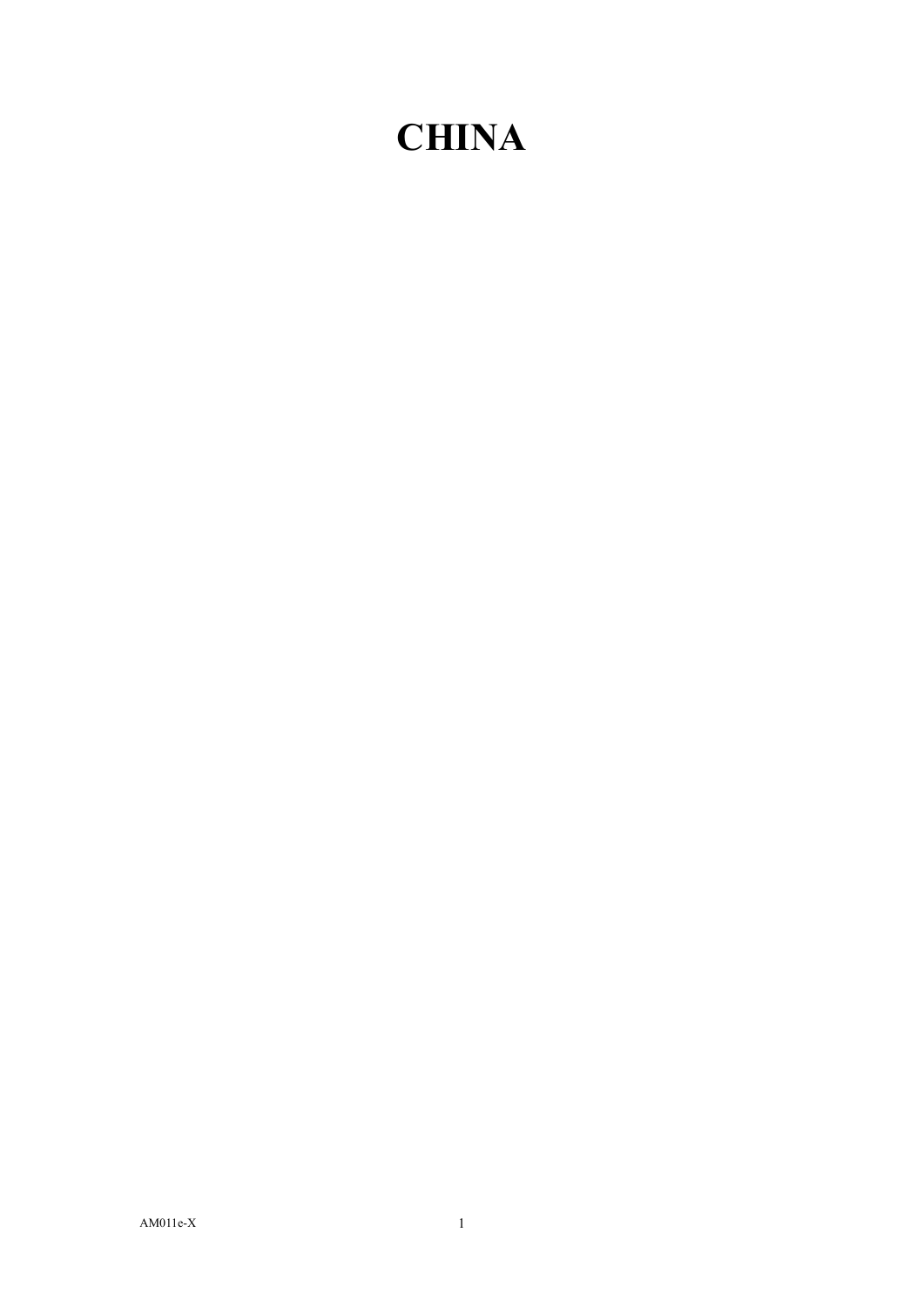## **CHINA**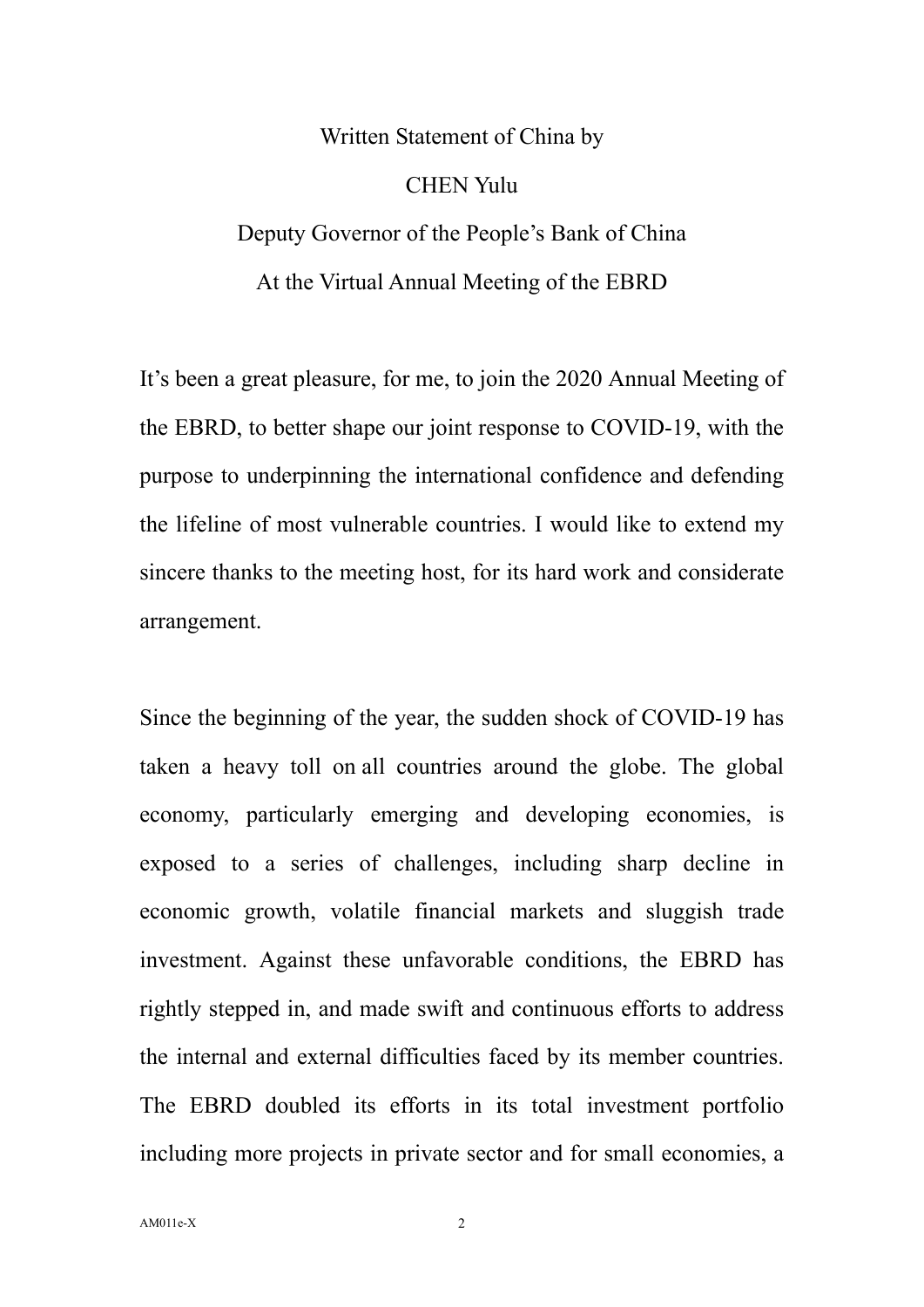## Written Statement of China by CHEN Yulu Deputy Governor of the People's Bank of China At the Virtual Annual Meeting of the EBRD

It's been a great pleasure, for me, to join the 2020 Annual Meeting of the EBRD, to better shape our joint response to COVID-19, with the purpose to underpinning the international confidence and defending the lifeline of most vulnerable countries. I would like to extend my sincere thanks to the meeting host, for its hard work and considerate arrangement.

Since the beginning of the year, the sudden shock of COVID-19 has taken a heavy toll on all countries around the globe. The global economy, particularly emerging and developing economies, is exposed to a series of challenges, including sharp decline in economic growth, volatile financial markets and sluggish trade investment. Against these unfavorable conditions, the EBRD has rightly stepped in, and made swift and continuous efforts to address the internal and external difficulties faced by its member countries. The EBRD doubled its efforts in its total investment portfolio including more projects in private sector and for small economies, a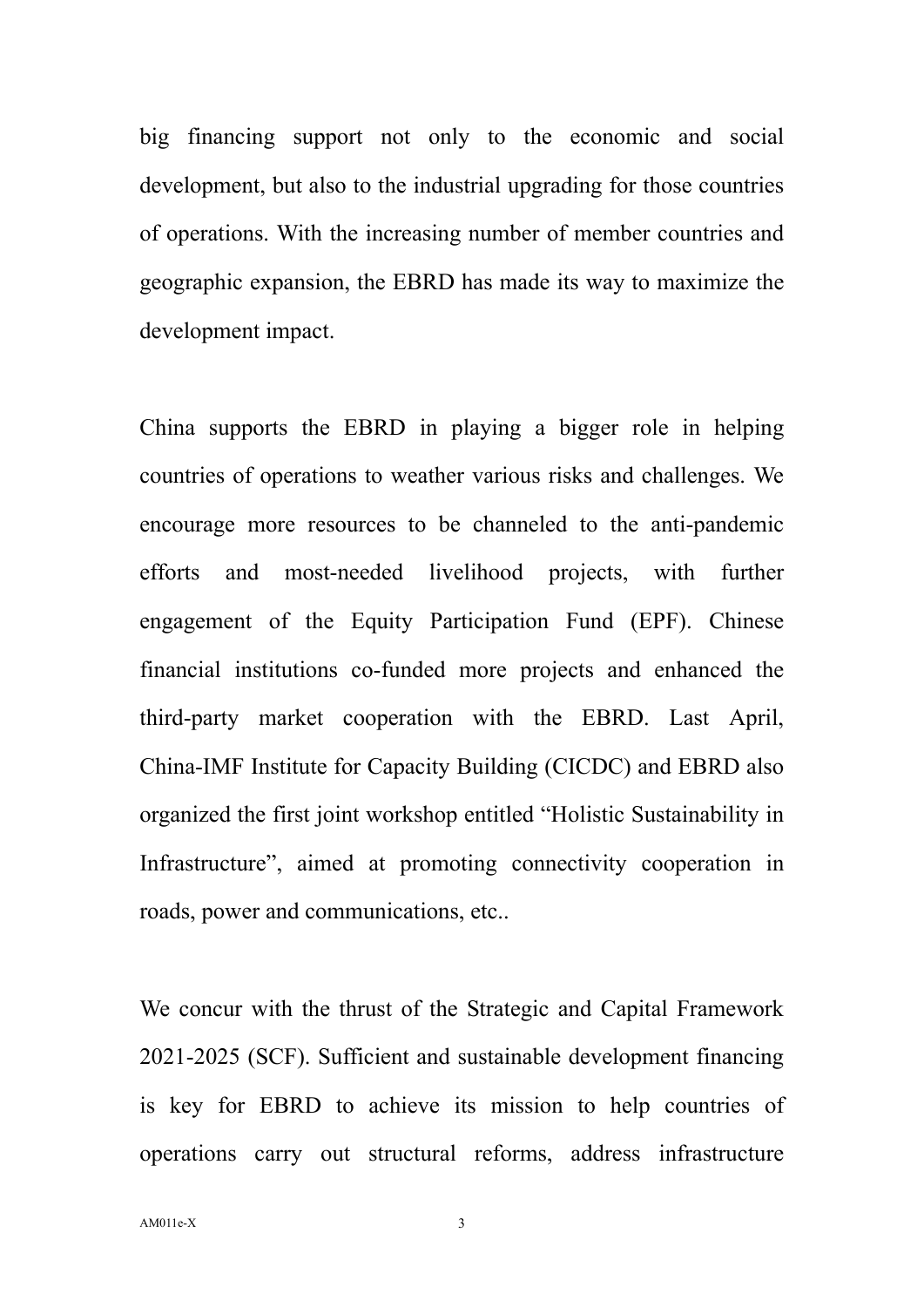big financing support not only to the economic and social development, but also to the industrial upgrading for those countries of operations. With the increasing number of member countries and geographic expansion, the EBRD has made its way to maximize the development impact.

China supports the EBRD in playing a bigger role in helping countries of operations to weather various risks and challenges. We encourage more resources to be channeled to the anti-pandemic efforts and most-needed livelihood projects, with further engagement of the Equity Participation Fund (EPF). Chinese financial institutions co-funded more projects and enhanced the third-party market cooperation with the EBRD. Last April, China-IMF Institute for Capacity Building (CICDC) and EBRD also organized the first joint workshop entitled "Holistic Sustainability in Infrastructure", aimed at promoting connectivity cooperation in roads, power and communications, etc..

We concur with the thrust of the Strategic and Capital Framework 2021-2025 (SCF). Sufficient and sustainable development financing is key for EBRD to achieve its mission to help countries of operations carry out structural reforms, address infrastructure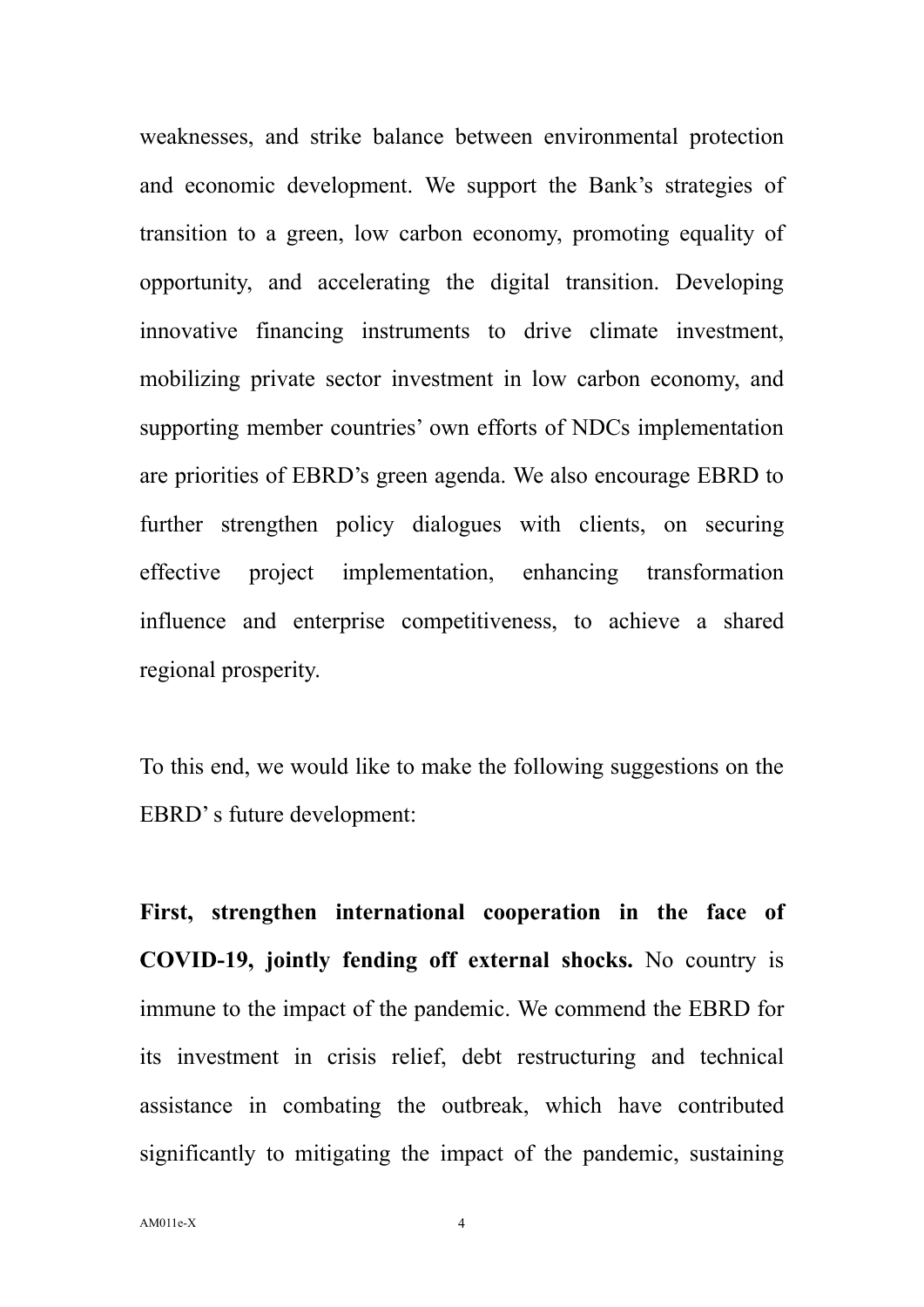weaknesses, and strike balance between environmental protection and economic development. We support the Bank's strategies of transition to a green, low carbon economy, promoting equality of opportunity, and accelerating the digital transition. Developing innovative financing instruments to drive climate investment, mobilizing private sector investment in low carbon economy, and supporting member countries' own efforts of NDCs implementation are priorities of EBRD's green agenda. We also encourage EBRD to further strengthen policy dialogues with clients, on securing effective project implementation, enhancing transformation influence and enterprise competitiveness, to achieve a shared regional prosperity.

To this end, we would like to make the following suggestions on the EBRD' s future development:

**First, strengthen international cooperation in the face of COVID-19, jointly fending off external shocks.** No country is immune to the impact of the pandemic. We commend the EBRD for its investment in crisis relief, debt restructuring and technical assistance in combating the outbreak, which have contributed significantly to mitigating the impact of the pandemic, sustaining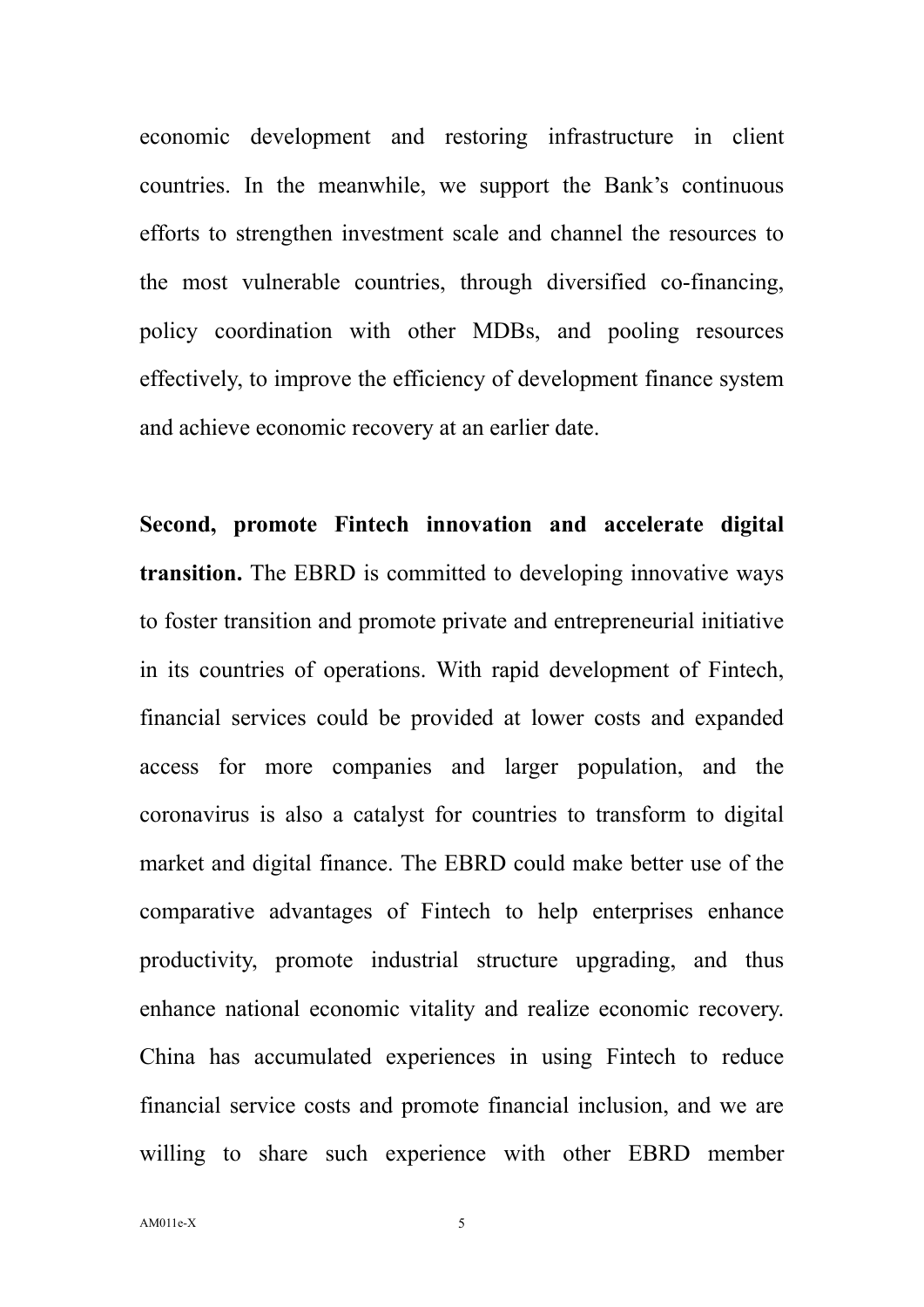economic development and restoring infrastructure in client countries. In the meanwhile, we support the Bank's continuous efforts to strengthen investment scale and channel the resources to the most vulnerable countries, through diversified co-financing, policy coordination with other MDBs, and pooling resources effectively, to improve the efficiency of development finance system and achieve economic recovery at an earlier date.

**Second, promote Fintech innovation and accelerate digital transition.** The EBRD is committed to developing innovative ways to foster transition and promote private and entrepreneurial initiative in its countries of operations. With rapid development of Fintech, financial services could be provided at lower costs and expanded access for more companies and larger population, and the coronavirus is also a catalyst for countries to transform to digital market and digital finance. The EBRD could make better use of the comparative advantages of Fintech to help enterprises enhance productivity, promote industrial structure upgrading, and thus enhance national economic vitality and realize economic recovery. China has accumulated experiences in using Fintech to reduce financial service costs and promote financial inclusion, and we are willing to share such experience with other EBRD member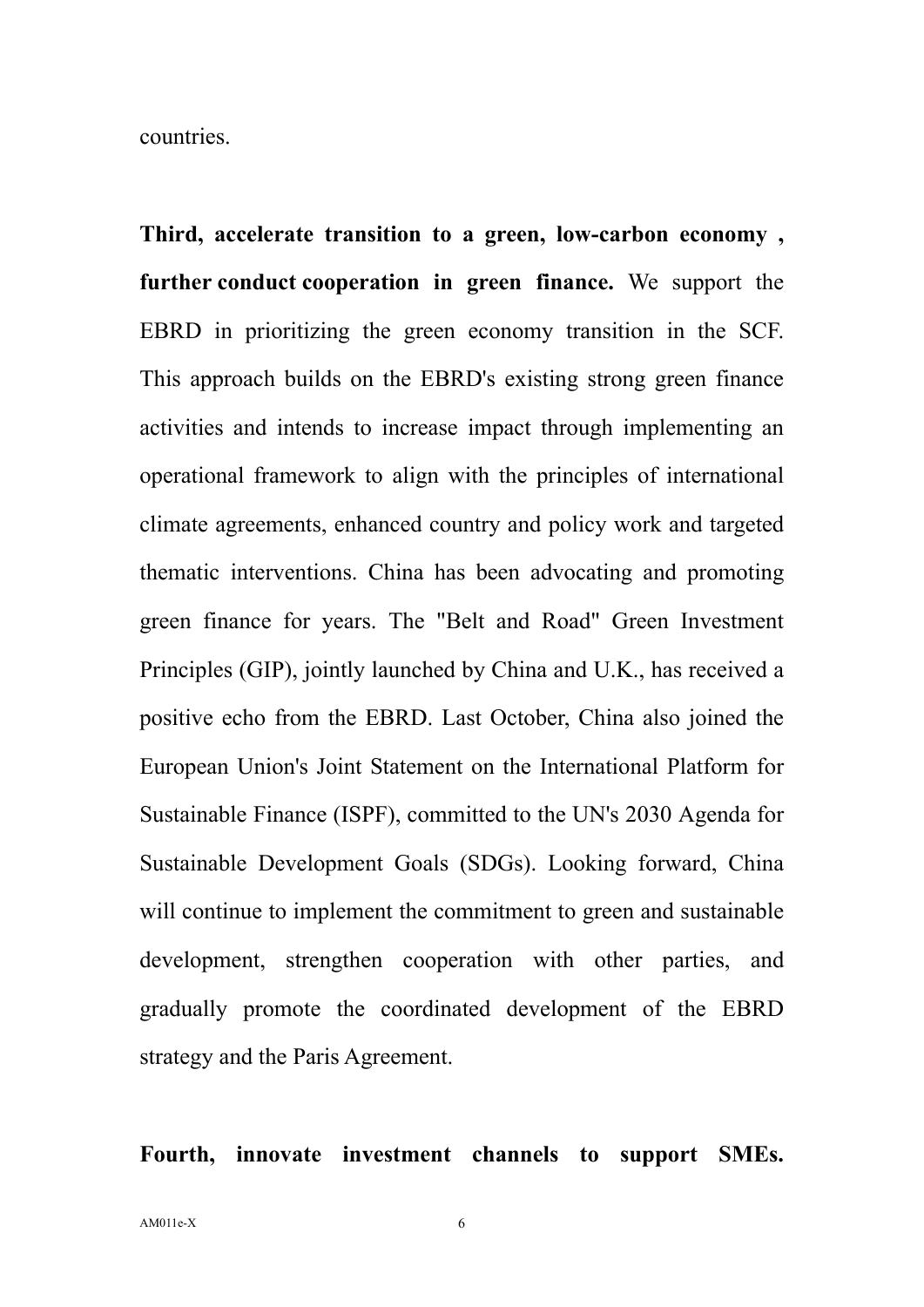countries.

**Third, accelerate transition to a green, low-carbon economy , further conduct cooperation in green finance.** We support the EBRD in prioritizing the green economy transition in the SCF. This approach builds on the EBRD's existing strong green finance activities and intends to increase impact through implementing an operational framework to align with the principles of international climate agreements, enhanced country and policy work and targeted thematic interventions. China has been advocating and promoting green finance for years. The "Belt and Road" Green Investment Principles (GIP), jointly launched by China and U.K., has received a positive echo from the EBRD. Last October, China also joined the European Union's Joint Statement on the International Platform for Sustainable Finance (ISPF), committed to the UN's 2030 Agenda for Sustainable Development Goals (SDGs). Looking forward, China will continue to implement the commitment to green and sustainable development, strengthen cooperation with other parties, and gradually promote the coordinated development of the EBRD strategy and the Paris Agreement.

**Fourth, innovate investment channels to support SMEs.**